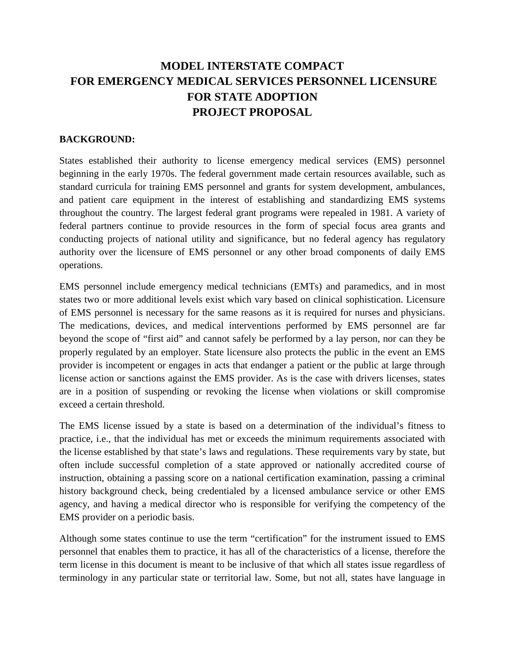# **MODEL INTERSTATE COMPACT FOR EMERGENCY MEDICAL SERVICES PERSONNEL LICENSURE FOR STATE ADOPTION PROJECT PROPOSAL**

#### **BACKGROUND:**

States established their authority to license emergency medical services (EMS) personnel beginning in the early 1970s. The federal government made certain resources available, such as standard curricula for training EMS personnel and grants for system development, ambulances, and patient care equipment in the interest of establishing and standardizing EMS systems throughout the country. The largest federal grant programs were repealed in 1981. A variety of federal partners continue to provide resources in the form of special focus area grants and conducting projects of national utility and significance, but no federal agency has regulatory authority over the licensure of EMS personnel or any other broad components of daily EMS operations.

EMS personnel include emergency medical technicians (EMTs) and paramedics, and in most states two or more additional levels exist which vary based on clinical sophistication. Licensure of EMS personnel is necessary for the same reasons as it is required for nurses and physicians. The medications, devices, and medical interventions performed by EMS personnel are far beyond the scope of "first aid" and cannot safely be performed by a lay person, nor can they be properly regulated by an employer. State licensure also protects the public in the event an EMS provider is incompetent or engages in acts that endanger a patient or the public at large through license action or sanctions against the EMS provider. As is the case with drivers licenses, states are in a position of suspending or revoking the license when violations or skill compromise exceed a certain threshold.

The EMS license issued by a state is based on a determination of the individual's fitness to practice, i.e., that the individual has met or exceeds the minimum requirements associated with the license established by that state's laws and regulations. These requirements vary by state, but often include successful completion of a state approved or nationally accredited course of instruction, obtaining a passing score on a national certification examination, passing a criminal history background check, being credentialed by a licensed ambulance service or other EMS agency, and having a medical director who is responsible for verifying the competency of the EMS provider on a periodic basis.

Although some states continue to use the term "certification" for the instrument issued to EMS personnel that enables them to practice, it has all of the characteristics of a license, therefore the term license in this document is meant to be inclusive of that which all states issue regardless of terminology in any particular state or territorial law. Some, but not all, states have language in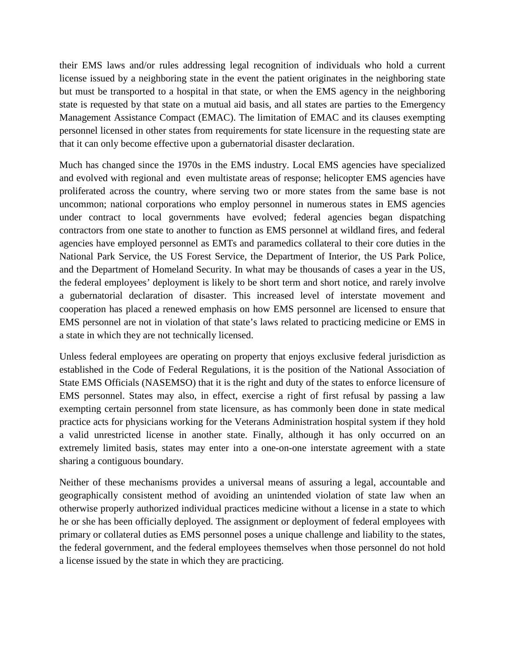their EMS laws and/or rules addressing legal recognition of individuals who hold a current license issued by a neighboring state in the event the patient originates in the neighboring state but must be transported to a hospital in that state, or when the EMS agency in the neighboring state is requested by that state on a mutual aid basis, and all states are parties to the Emergency Management Assistance Compact (EMAC). The limitation of EMAC and its clauses exempting personnel licensed in other states from requirements for state licensure in the requesting state are that it can only become effective upon a gubernatorial disaster declaration.

Much has changed since the 1970s in the EMS industry. Local EMS agencies have specialized and evolved with regional and even multistate areas of response; helicopter EMS agencies have proliferated across the country, where serving two or more states from the same base is not uncommon; national corporations who employ personnel in numerous states in EMS agencies under contract to local governments have evolved; federal agencies began dispatching contractors from one state to another to function as EMS personnel at wildland fires, and federal agencies have employed personnel as EMTs and paramedics collateral to their core duties in the National Park Service, the US Forest Service, the Department of Interior, the US Park Police, and the Department of Homeland Security. In what may be thousands of cases a year in the US, the federal employees' deployment is likely to be short term and short notice, and rarely involve a gubernatorial declaration of disaster. This increased level of interstate movement and cooperation has placed a renewed emphasis on how EMS personnel are licensed to ensure that EMS personnel are not in violation of that state's laws related to practicing medicine or EMS in a state in which they are not technically licensed.

Unless federal employees are operating on property that enjoys exclusive federal jurisdiction as established in the Code of Federal Regulations, it is the position of the National Association of State EMS Officials (NASEMSO) that it is the right and duty of the states to enforce licensure of EMS personnel. States may also, in effect, exercise a right of first refusal by passing a law exempting certain personnel from state licensure, as has commonly been done in state medical practice acts for physicians working for the Veterans Administration hospital system if they hold a valid unrestricted license in another state. Finally, although it has only occurred on an extremely limited basis, states may enter into a one-on-one interstate agreement with a state sharing a contiguous boundary.

Neither of these mechanisms provides a universal means of assuring a legal, accountable and geographically consistent method of avoiding an unintended violation of state law when an otherwise properly authorized individual practices medicine without a license in a state to which he or she has been officially deployed. The assignment or deployment of federal employees with primary or collateral duties as EMS personnel poses a unique challenge and liability to the states, the federal government, and the federal employees themselves when those personnel do not hold a license issued by the state in which they are practicing.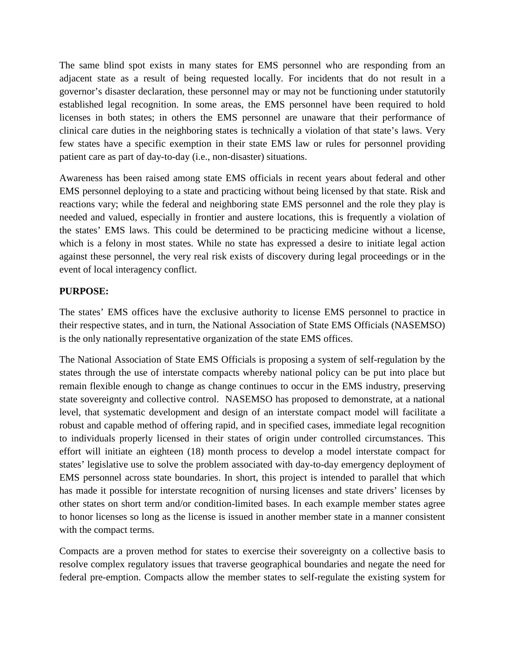The same blind spot exists in many states for EMS personnel who are responding from an adjacent state as a result of being requested locally. For incidents that do not result in a governor's disaster declaration, these personnel may or may not be functioning under statutorily established legal recognition. In some areas, the EMS personnel have been required to hold licenses in both states; in others the EMS personnel are unaware that their performance of clinical care duties in the neighboring states is technically a violation of that state's laws. Very few states have a specific exemption in their state EMS law or rules for personnel providing patient care as part of day-to-day (i.e., non-disaster) situations.

Awareness has been raised among state EMS officials in recent years about federal and other EMS personnel deploying to a state and practicing without being licensed by that state. Risk and reactions vary; while the federal and neighboring state EMS personnel and the role they play is needed and valued, especially in frontier and austere locations, this is frequently a violation of the states' EMS laws. This could be determined to be practicing medicine without a license, which is a felony in most states. While no state has expressed a desire to initiate legal action against these personnel, the very real risk exists of discovery during legal proceedings or in the event of local interagency conflict.

#### **PURPOSE:**

The states' EMS offices have the exclusive authority to license EMS personnel to practice in their respective states, and in turn, the National Association of State EMS Officials (NASEMSO) is the only nationally representative organization of the state EMS offices.

The National Association of State EMS Officials is proposing a system of self-regulation by the states through the use of interstate compacts whereby national policy can be put into place but remain flexible enough to change as change continues to occur in the EMS industry, preserving state sovereignty and collective control. NASEMSO has proposed to demonstrate, at a national level, that systematic development and design of an interstate compact model will facilitate a robust and capable method of offering rapid, and in specified cases, immediate legal recognition to individuals properly licensed in their states of origin under controlled circumstances. This effort will initiate an eighteen (18) month process to develop a model interstate compact for states' legislative use to solve the problem associated with day-to-day emergency deployment of EMS personnel across state boundaries. In short, this project is intended to parallel that which has made it possible for interstate recognition of nursing licenses and state drivers' licenses by other states on short term and/or condition-limited bases. In each example member states agree to honor licenses so long as the license is issued in another member state in a manner consistent with the compact terms.

Compacts are a proven method for states to exercise their sovereignty on a collective basis to resolve complex regulatory issues that traverse geographical boundaries and negate the need for federal pre-emption. Compacts allow the member states to self-regulate the existing system for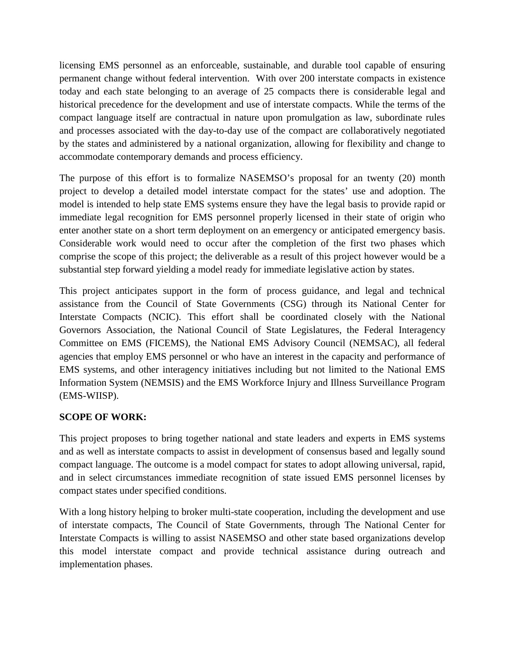licensing EMS personnel as an enforceable, sustainable, and durable tool capable of ensuring permanent change without federal intervention. With over 200 interstate compacts in existence today and each state belonging to an average of 25 compacts there is considerable legal and historical precedence for the development and use of interstate compacts. While the terms of the compact language itself are contractual in nature upon promulgation as law, subordinate rules and processes associated with the day-to-day use of the compact are collaboratively negotiated by the states and administered by a national organization, allowing for flexibility and change to accommodate contemporary demands and process efficiency.

The purpose of this effort is to formalize NASEMSO's proposal for an twenty (20) month project to develop a detailed model interstate compact for the states' use and adoption. The model is intended to help state EMS systems ensure they have the legal basis to provide rapid or immediate legal recognition for EMS personnel properly licensed in their state of origin who enter another state on a short term deployment on an emergency or anticipated emergency basis. Considerable work would need to occur after the completion of the first two phases which comprise the scope of this project; the deliverable as a result of this project however would be a substantial step forward yielding a model ready for immediate legislative action by states.

This project anticipates support in the form of process guidance, and legal and technical assistance from the Council of State Governments (CSG) through its National Center for Interstate Compacts (NCIC). This effort shall be coordinated closely with the National Governors Association, the National Council of State Legislatures, the Federal Interagency Committee on EMS (FICEMS), the National EMS Advisory Council (NEMSAC), all federal agencies that employ EMS personnel or who have an interest in the capacity and performance of EMS systems, and other interagency initiatives including but not limited to the National EMS Information System (NEMSIS) and the EMS Workforce Injury and Illness Surveillance Program (EMS-WIISP).

## **SCOPE OF WORK:**

This project proposes to bring together national and state leaders and experts in EMS systems and as well as interstate compacts to assist in development of consensus based and legally sound compact language. The outcome is a model compact for states to adopt allowing universal, rapid, and in select circumstances immediate recognition of state issued EMS personnel licenses by compact states under specified conditions.

With a long history helping to broker multi-state cooperation, including the development and use of interstate compacts, The Council of State Governments, through The National Center for Interstate Compacts is willing to assist NASEMSO and other state based organizations develop this model interstate compact and provide technical assistance during outreach and implementation phases.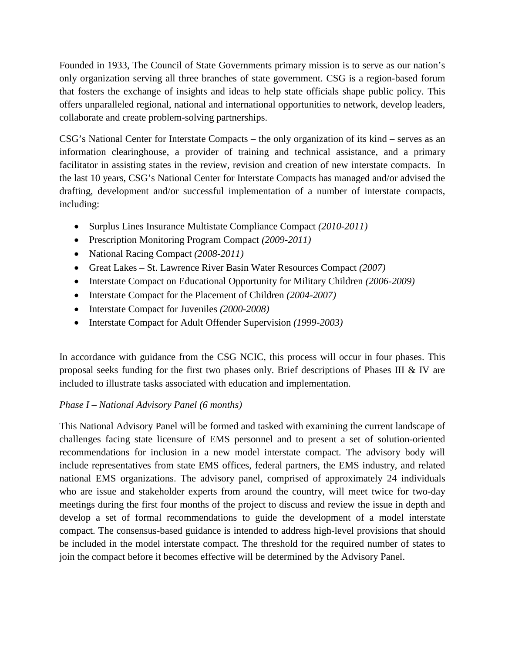Founded in 1933, The Council of State Governments primary mission is to serve as our nation's only organization serving all three branches of state government. CSG is a region-based forum that fosters the exchange of insights and ideas to help state officials shape public policy. This offers unparalleled regional, national and international opportunities to network, develop leaders, collaborate and create problem-solving partnerships.

CSG's National Center for Interstate Compacts – the only organization of its kind – serves as an information clearinghouse, a provider of training and technical assistance, and a primary facilitator in assisting states in the review, revision and creation of new interstate compacts. In the last 10 years, CSG's National Center for Interstate Compacts has managed and/or advised the drafting, development and/or successful implementation of a number of interstate compacts, including:

- Surplus Lines Insurance Multistate Compliance Compact *(2010-2011)*
- Prescription Monitoring Program Compact *(2009-2011)*
- National Racing Compact *(2008-2011)*
- Great Lakes St. Lawrence River Basin Water Resources Compact *(2007)*
- Interstate Compact on Educational Opportunity for Military Children *(2006-2009)*
- Interstate Compact for the Placement of Children *(2004-2007)*
- Interstate Compact for Juveniles *(2000-2008)*
- Interstate Compact for Adult Offender Supervision *(1999-2003)*

In accordance with guidance from the CSG NCIC, this process will occur in four phases. This proposal seeks funding for the first two phases only. Brief descriptions of Phases III & IV are included to illustrate tasks associated with education and implementation.

## *Phase I – National Advisory Panel (6 months)*

This National Advisory Panel will be formed and tasked with examining the current landscape of challenges facing state licensure of EMS personnel and to present a set of solution-oriented recommendations for inclusion in a new model interstate compact. The advisory body will include representatives from state EMS offices, federal partners, the EMS industry, and related national EMS organizations. The advisory panel, comprised of approximately 24 individuals who are issue and stakeholder experts from around the country, will meet twice for two-day meetings during the first four months of the project to discuss and review the issue in depth and develop a set of formal recommendations to guide the development of a model interstate compact. The consensus-based guidance is intended to address high-level provisions that should be included in the model interstate compact. The threshold for the required number of states to join the compact before it becomes effective will be determined by the Advisory Panel.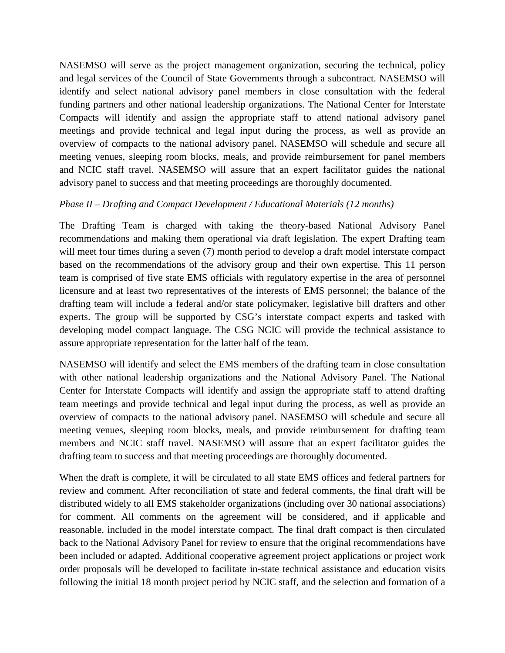NASEMSO will serve as the project management organization, securing the technical, policy and legal services of the Council of State Governments through a subcontract. NASEMSO will identify and select national advisory panel members in close consultation with the federal funding partners and other national leadership organizations. The National Center for Interstate Compacts will identify and assign the appropriate staff to attend national advisory panel meetings and provide technical and legal input during the process, as well as provide an overview of compacts to the national advisory panel. NASEMSO will schedule and secure all meeting venues, sleeping room blocks, meals, and provide reimbursement for panel members and NCIC staff travel. NASEMSO will assure that an expert facilitator guides the national advisory panel to success and that meeting proceedings are thoroughly documented.

#### *Phase II – Drafting and Compact Development / Educational Materials (12 months)*

The Drafting Team is charged with taking the theory-based National Advisory Panel recommendations and making them operational via draft legislation. The expert Drafting team will meet four times during a seven (7) month period to develop a draft model interstate compact based on the recommendations of the advisory group and their own expertise. This 11 person team is comprised of five state EMS officials with regulatory expertise in the area of personnel licensure and at least two representatives of the interests of EMS personnel; the balance of the drafting team will include a federal and/or state policymaker, legislative bill drafters and other experts. The group will be supported by CSG's interstate compact experts and tasked with developing model compact language. The CSG NCIC will provide the technical assistance to assure appropriate representation for the latter half of the team.

NASEMSO will identify and select the EMS members of the drafting team in close consultation with other national leadership organizations and the National Advisory Panel. The National Center for Interstate Compacts will identify and assign the appropriate staff to attend drafting team meetings and provide technical and legal input during the process, as well as provide an overview of compacts to the national advisory panel. NASEMSO will schedule and secure all meeting venues, sleeping room blocks, meals, and provide reimbursement for drafting team members and NCIC staff travel. NASEMSO will assure that an expert facilitator guides the drafting team to success and that meeting proceedings are thoroughly documented.

When the draft is complete, it will be circulated to all state EMS offices and federal partners for review and comment. After reconciliation of state and federal comments, the final draft will be distributed widely to all EMS stakeholder organizations (including over 30 national associations) for comment. All comments on the agreement will be considered, and if applicable and reasonable, included in the model interstate compact. The final draft compact is then circulated back to the National Advisory Panel for review to ensure that the original recommendations have been included or adapted. Additional cooperative agreement project applications or project work order proposals will be developed to facilitate in-state technical assistance and education visits following the initial 18 month project period by NCIC staff, and the selection and formation of a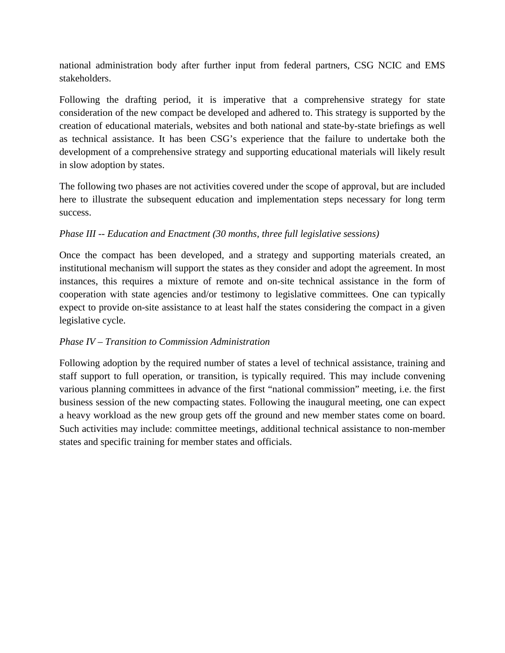national administration body after further input from federal partners, CSG NCIC and EMS stakeholders.

Following the drafting period, it is imperative that a comprehensive strategy for state consideration of the new compact be developed and adhered to. This strategy is supported by the creation of educational materials, websites and both national and state-by-state briefings as well as technical assistance. It has been CSG's experience that the failure to undertake both the development of a comprehensive strategy and supporting educational materials will likely result in slow adoption by states.

The following two phases are not activities covered under the scope of approval, but are included here to illustrate the subsequent education and implementation steps necessary for long term success.

#### *Phase III -- Education and Enactment (30 months, three full legislative sessions)*

Once the compact has been developed, and a strategy and supporting materials created, an institutional mechanism will support the states as they consider and adopt the agreement. In most instances, this requires a mixture of remote and on-site technical assistance in the form of cooperation with state agencies and/or testimony to legislative committees. One can typically expect to provide on-site assistance to at least half the states considering the compact in a given legislative cycle.

## *Phase IV – Transition to Commission Administration*

Following adoption by the required number of states a level of technical assistance, training and staff support to full operation, or transition, is typically required. This may include convening various planning committees in advance of the first "national commission" meeting, i.e. the first business session of the new compacting states. Following the inaugural meeting, one can expect a heavy workload as the new group gets off the ground and new member states come on board. Such activities may include: committee meetings, additional technical assistance to non-member states and specific training for member states and officials.